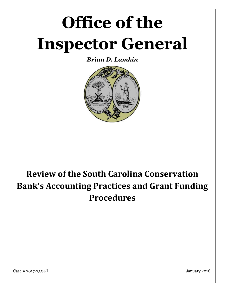# **Office of the Inspector General**

# *Brian D. Lamkin*



# **Review of the South Carolina Conservation Bank's Accounting Practices and Grant Funding Procedures**

Case # 2017-2554-I January 2018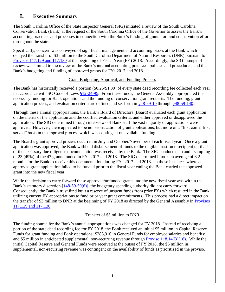# **I. Executive Summary**

The South Carolina Office of the State Inspector General (SIG) initiated a review of the South Carolina Conservation Bank (Bank) at the request of the South Carolina Office of the Governor to assess the Bank's accounting practices and processes in connection with the Bank's funding of grants for land conservation efforts throughout the state.

Specifically, concern was conveyed of significant management and accounting issues at the Bank which delayed the transfer of \$3 million to the South Carolina Department of Natural Resources (DNR) pursuant to [Provisos 117.129 and 117.130](http://www.scstatehouse.gov/sess122_2017-2018/appropriations2017/tap1b.pdf) at the beginning of Fiscal Year (FY) 2018. Accordingly, the SIG's scope of review was limited to the review of the Bank's internal accounting practices, policies and procedures; and the Bank's budgeting and funding of approved grants for FYs 2017 and 2018.

#### Grant Budgeting, Approval, and Funding Process

The Bank has historically received a portion (\$0.25/\$1.30) of every state deed recording fee collected each year in accordance with SC Code of Laws [§12-24-95.](http://www.scstatehouse.gov/code/t12c024.php) From these funds, the General Assembly appropriated the necessary funding for Bank operations and the funding of conservation grant requests. The funding, grant application process, and evaluation criteria are defined and set forth in [§48-59-10](http://www.scstatehouse.gov/code/t48c059.php) through [§48-59-140.](http://www.scstatehouse.gov/code/t48c059.php)

Through these annual appropriations, the Bank's Board of Directors (Board) evaluated each grant application on the merits of the application and the codified evaluation criteria, and either approved or disapproved the application. The SIG determined through interviews of Bank staff the vast majority of applications were approved. However, there appeared to be no prioritization of grant applications, but more of a "first come, first served" basis in the approval process which was contingent on available funding.

The Board's grant approval process occurred in July and October/November of each fiscal year. Once a grant application was approved, the Bank withheld disbursement of funds to the eligible trust fund recipient until all of the necessary due diligence documentation was received by the Bank. The SIG conducted an audit sampling of 23 (49%) of the 47 grants funded in FYs 2017 and 2018. The SIG determined it took an average of 8.2 months for the Bank to receive this documentation during FYs 2017 and 2018. In those instances where an approved grant application failed to be funded prior to the fiscal year ending the Bank carried the approved grant into the new fiscal year.

While the decision to carry forward these approved/unfunded grants into the new fiscal year was within the Bank's statutory discretion [\[§48-59-50\(6\)\]](http://www.scstatehouse.gov/code/t48c059.php), the budgetary spending authority did not carry forward. Consequently, the Bank's trust fund built a reserve of unspent funds from prior FYs which resulted in the Bank utilizing current FY appropriations to fund prior year grant commitments. This process had a direct impact on the transfer of \$3 million to DNR at the beginning of FY 2018 as directed by the General Assembly in [Provisos](http://www.scstatehouse.gov/sess122_2017-2018/appropriations2017/tap1b.pdf)  [117.129 and 117.130.](http://www.scstatehouse.gov/sess122_2017-2018/appropriations2017/tap1b.pdf)

#### Transfer of \$3 million to DNR

The funding source for the Bank's annual appropriations was changed for FY 2018. Instead of receiving a portion of the state deed recording fee for FY 2018, the Bank received an initial \$5 million in Capital Reserve Funds for grant funding and Bank operations; \$283,916 in General Funds for employee salaries and benefits; and \$5 million in anticipated supplemental, non-recurring revenue through [Proviso 118.14\(B\)\(18\).](http://www.scstatehouse.gov/sess122_2017-2018/appropriations2017/tap1b.pdf) While the initial Capital Reserve and General Funds were received at the outset of FY 2018, the \$5 million in supplemental, non-recurring revenue was contingent on the availability of funds as prioritized in the proviso.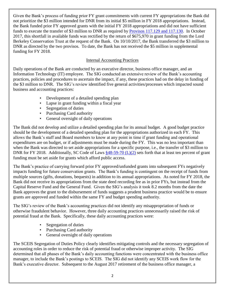Given the Bank's process of funding prior FY grant commitments with current FY appropriations the Bank did not prioritize the \$3 million intended for DNR from its initial \$5 million in FY 2018 appropriations. Instead, the Bank funded prior FY approved grants with the initial FY 2018 appropriations and did not have sufficient funds to execute the transfer of \$3 million to DNR as required by [Provisos 117.129 and 117.130.](http://www.scstatehouse.gov/sess122_2017-2018/appropriations2017/tap1b.pdf) In October 2017, this shortfall in available funds was rectified by the return of \$675,970 in grant funding from the Lord Berkeley Conservation Trust at the request of the Bank. On 10/10/2017, the Bank transferred the \$3 million to DNR as directed by the two provisos. To date, the Bank has not received the \$5 million in supplemental funding for FY 2018.

#### Internal Accounting Practices

Daily operations of the Bank are conducted by an executive director, business office manager, and an Information Technology (IT) employee. The SIG conducted an extensive review of the Bank's accounting practices, policies and procedures to ascertain the impact, if any, these practices had on the delay in funding of the \$3 million to DNR. The SIG's review identified five general activities/processes which impacted sound business and accounting practices:

- Development of a detailed spending plan
- Lapse in grant funding within a fiscal year
- Segregation of duties
- Purchasing Card authority
- General oversight of daily operations

The Bank did not develop and utilize a detailed spending plan for its annual budget. A good budget practice should be the development of a detailed spending plan for the appropriations authorized in each FY. This allows the Bank's staff and Board members to know at any point in time if grant funding and operational expenditures are on budget, or if adjustments must be made during the FY. This was no less important than when the Bank was directed to set aside appropriations for a specific purpose, i.e., the transfer of \$3 million to DNR for FY 2018. Additionally, SC Code of Laws  $\frac{848-59-70 \text{ (L)}(2)}{2}$  sets forth that at least ten percent of grant funding must be set aside for grants which afford public access.

The Bank's practice of carrying forward prior FY approved/unfunded grants into subsequent FYs negatively impacts funding for future conservation grants. The Bank's funding is contingent on the receipt of funds from multiple sources (gifts, donations, bequests) in addition to its annual appropriations. As noted for FY 2018, the Bank did not receive its appropriations from the state deed recording fee as in prior FYs, but instead from the Capital Reserve Fund and the General Fund. Given the SIG's analysis it took 8.2 months from the date the Bank approves the grant to the disbursement of funds suggests a prudent business practice would be to ensure grants are approved and funded within the same FY and budget spending authority.

The SIG's review of the Bank's accounting practices did not identify any misappropriation of funds or otherwise fraudulent behavior. However, three daily accounting practices unnecessarily raised the risk of potential fraud at the Bank. Specifically, these daily accounting practices were:

- Segregation of duties
- Purchasing Card authority
- General oversight of daily operations

The SCEIS Segregation of Duties Policy clearly identifies mitigating controls and the necessary segregation of accounting roles in order to reduce the risk of potential fraud or otherwise improper activity. The SIG determined that all phases of the Bank's daily accounting functions were concentrated with the business office manager, to include the Bank's postings to SCEIS. The SIG did not identify any SCEIS work flow for the Bank's executive director. Subsequent to the August 2017 retirement of the business office manager, a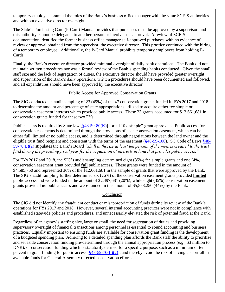temporary employee assumed the roles of the Bank's business office manager with the same SCEIS authorities and without executive director oversight.

The State's Purchasing Card (P-Card) Manual provides that purchases must be approved by a supervisor, and this authority cannot be delegated to another person or involve self-approval. A review of SCEIS documentation identified the former business office manager self-approved purchases with no evidence of review or approval obtained from the supervisor, the executive director. This practice continued with the hiring of a temporary employee. Additionally, the P-Card Manual prohibits temporary employees from holding P-Cards.

Finally, the Bank's executive director provided minimal oversight of daily bank operations. The Bank did not maintain written procedures nor was a formal review of the Bank's spending habits conducted. Given the small staff size and the lack of segregation of duties, the executive director should have provided greater oversight and supervision of the Bank's daily operations, written procedures should have been documented and followed, and all expenditures should have been approved by the executive director.

#### Public Access for Approved Conservation Grants

The SIG conducted an audit sampling of 23 (49%) of the 47 conservation grants funded in FYs 2017 and 2018 to determine the amount and percentage of state appropriations utilized to acquire either fee simple or conservation easement interests which provided public access. These 23 grants accounted for \$12,661,681 in conservation grants funded for these two FYs.

Public access is required by State law  $\left[\frac{848-59-80(K)}{848-59} \right]$  for all "fee simple" grant approvals. Public access for conservation easements is determined through the provisions of each conservation easement, which can be either full, limited or no public access, and is determined through negotiations between the land owner and the eligible trust fund recipient and consistent with the terms of the easement ( $§48-59-100$ ). SC Code of Laws  $§48-$ [59-70\(L\)\(2\)](http://www.scstatehouse.gov/code/t48c059.php) stipulates the Bank's Board *"shall authorize at least ten percent of the monies credited to the trust fund during the preceding fiscal year for the acquisition of interests in land that provides public access."*

For FYs 2017 and 2018, the SIG's audit sampling determined eight (35%) fee simple grants and one (4%) conservation easement grant provided **full** public access. These grants were funded in the amount of \$4,585,750 and represented 36% of the \$12,661,681 in the sample of grants that were approved by the Bank. The SIG's audit sampling further determined six (26%) of the conservation easement grants provided **limited** public access and were funded in the amount of \$2,497,681 (20%); while eight (35%) conservation easement grants provided **no** public access and were funded in the amount of \$5,578,250 (44%) by the Bank.

#### Conclusion

The SIG did not identify any fraudulent conduct or misappropriation of funds during its review of the Bank's operations for FYs 2017 and 2018. However, several internal accounting practices were not in compliance with established statewide policies and procedures, and unnecessarily elevated the risk of potential fraud at the Bank.

Regardless of an agency's staffing size, large or small, the need for segregation of duties and providing supervisory oversight of financial transactions among personnel is essential to sound accounting and business practices. Equally important to ensuring funds are available for conservation grant funding is the development of a budgeted spending plan. Adhering to a detailed spending plan affords the Bank staff the ability to prioritize and set aside conservation funding pre-determined through the annual appropriation process (e.g., \$3 million to DNR); or conservation funding which is statutorily defined for a specific purpose, such as a minimum of ten percent in grant funding for public access  $\frac{848-59-70(L)(2)}{2}$ , and thereby avoid the risk of having a shortfall in available funds for General Assembly directed conservation efforts.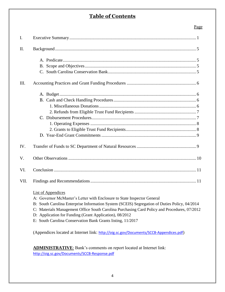# **Table of Contents**

#### Page

| $\mathbf{I}$ . |                                                                                                                                                                                                                                                                                                                                                                                                                                 |
|----------------|---------------------------------------------------------------------------------------------------------------------------------------------------------------------------------------------------------------------------------------------------------------------------------------------------------------------------------------------------------------------------------------------------------------------------------|
| II.            |                                                                                                                                                                                                                                                                                                                                                                                                                                 |
|                |                                                                                                                                                                                                                                                                                                                                                                                                                                 |
| III.           |                                                                                                                                                                                                                                                                                                                                                                                                                                 |
|                |                                                                                                                                                                                                                                                                                                                                                                                                                                 |
| IV.            |                                                                                                                                                                                                                                                                                                                                                                                                                                 |
| V.             |                                                                                                                                                                                                                                                                                                                                                                                                                                 |
| VI.            |                                                                                                                                                                                                                                                                                                                                                                                                                                 |
| VII.           |                                                                                                                                                                                                                                                                                                                                                                                                                                 |
|                | <b>List of Appendices</b><br>A: Governor McMaster's Letter with Enclosure to State Inspector General<br>B: South Carolina Enterprise Information System (SCEIS) Segregation of Duties Policy, 04/2014<br>C: Materials Management Office South Carolina Purchasing Card Policy and Procedures, 07/2012<br>D: Application for Funding (Grant Application), 08/2012<br>E: South Carolina Conservation Bank Grants listing, 11/2017 |

(Appendices located at Internet link: <http://oig.sc.gov/Documents/SCCB-Appendices.pdf>)

**ADMINISTRATIVE**: Bank's comments on report located at Internet link: <http://oig.sc.gov/Documents/SCCB-Response.pdf>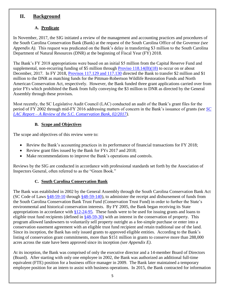# **II. Background**

## **A. Predicate**

In November, 2017, the SIG initiated a review of the management and accounting practices and procedures of the South Carolina Conservation Bank (Bank) at the request of the South Carolina Office of the Governor *(see Appendix A)*. This request was predicated on the Bank's delay in transferring \$3 million to the South Carolina Department of Natural Resources (DNR) at the beginning of Fiscal Year (FY) 2018.

The Bank's FY 2018 appropriations were based on an initial \$5 million from the Capital Reserve Fund and supplemental, non-recurring funding of \$5 million through [Proviso 118.14\(B\)\(18\)](http://www.scstatehouse.gov/sess122_2017-2018/appropriations2017/tap1b.pdf) to occur on or about December, 2017. In FY 2018, [Provisos 117.129 and 117.130](http://www.scstatehouse.gov/sess122_2017-2018/appropriations2017/tap1b.pdf) directed the Bank to transfer \$2 million and \$1 million to the DNR as matching funds for the Pittman-Robertson Wildlife Restoration Funds and North American Conservation Act, respectively. However, the Bank funded three grant applications carried over from prior FYs which prohibited the Bank from fully conveying the \$3 million to DNR as directed by the General Assembly through these provisos.

Most recently, the SC Legislative Audit Council (LAC) conducted an audit of the Bank's grant files for the period of FY 2002 through mid-FY 2016 addressing matters of concern in the Bank's issuance of grants *(see [SC](http://lac.sc.gov/Pages/default.aspx)  LAC Report – A Review of the [S.C. Conservation Bank, 02/2017\)](http://lac.sc.gov/Pages/default.aspx)*.

## **B. Scope and Objectives**

The scope and objectives of this review were to:

- Review the Bank's accounting practices in its performance of financial transactions for FY 2018;
- Review grant files issued by the Bank for FYs 2017 and 2018;
- Make recommendations to improve the Bank's operations and controls.

Reviews by the SIG are conducted in accordance with professional standards set forth by the Association of Inspectors General, often referred to as the "Green Book."

# **C. South Carolina Conservation Bank**

The Bank was established in 2002 by the General Assembly through the South Carolina Conservation Bank Act (SC Code of Laws [§48-59-10](http://www.scstatehouse.gov/code/t48c059.php) through [§48-59-140\)](http://www.scstatehouse.gov/code/t48c059.php), to administer the receipt and disbursement of funds from the South Carolina Conservation Bank Trust Fund (Conservation Trust Fund) in order to further the State's environmental and historical conservation interests. By FY 2005, the Bank began receiving its State appropriations in accordance with [§12-24-95](http://www.scstatehouse.gov/code/t12c024.php)*.* These funds were to be used for issuing grants and loans to eligible trust fund recipients (defined in  $\S$ 48-59-30) with an interest in the conservation of property. This program allowed landowners to voluntarily sell property outright as a fee-simple purchase or enter into a conservation easement agreement with an eligible trust fund recipient and retain traditional use of the land. Since its inception, the Bank has only issued grants to approved eligible entities. According to the Bank's listing of conservation grant commitments, more than \$151 million in grants to conserve more than 288,000 acres across the state have been approved since its inception *(see Appendix E)*.

At its inception, the Bank was comprised of only the executive director and a 14-member Board of Directors (Board). After starting with only one employee in 2002, the Bank was authorized an additional full-time equivalent (FTE) position for a business office manager in 2009. The Bank later maintained a temporary employee position for an intern to assist with business operations. In 2015, the Bank contracted for information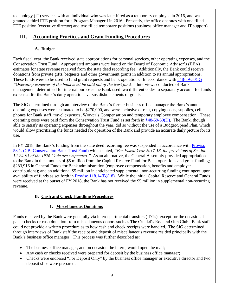technology (IT) services with an individual who was later hired as a temporary employee in 2016, and was granted a third FTE position for a Program Manager I in 2016. Presently, the office operates with one filled FTE position (executive director) and two filled temporary positions (business office manager and IT support).

# **III. Accounting Practices and Grant Funding Procedures**

# **A. Budget**

Each fiscal year, the Bank received state appropriations for personal services, other operating expenses, and the Conservation Trust Fund. Appropriated amounts were based on the Board of Economic Advisor's (BEA) estimates for state revenue received from the state deed recording fee. Additionally, the Bank could receive donations from private gifts, bequests and other government grants in addition to its annual appropriations. These funds were to be used to fund grant requests and bank operations. In accordance with  $§48-59-50(D)$ *"Operating expenses of the bank must be paid out of the trust fund."* Interviews conducted of Bank management determined for internal purposes the Bank used two different codes to separately account for funds expensed for the Bank's daily operations versus disbursements of grants.

The SIG determined through an interview of the Bank's former business office manager the Bank's annual operating expenses were estimated to be \$270,000, and were inclusive of rent, copying costs, supplies, cell phones for Bank staff, travel expenses, Worker's Compensation and temporary employee compensation. These operating costs were paid from the Conservation Trust Fund as set forth in  $\frac{848-59-50}{D}$ . The Bank, though able to satisfy its operating expenses throughout the year, did so without the use of a Budget/Spend Plan, which would allow prioritizing the funds needed for operation of the Bank and provide an accurate daily picture for its use.

In FY 2018, the Bank's funding from the state deed recording fee was suspended in accordance with [Proviso](http://www.scstatehouse.gov/sess122_2017-2018/appropriations2017/tap1b.pdf)  [53.1. \(CB: Conservation Bank Trust Fund\)](http://www.scstatehouse.gov/sess122_2017-2018/appropriations2017/tap1b.pdf) which stated, *"For Fiscal Year 2017-18, the provisions of Section 12-24-95 of the 1976 Code are suspended."* As an alternative, the General Assembly provided appropriations to the Bank in the amounts of \$5 million from the Capital Reserve Fund for Bank operations and grant funding; \$283,916 in General Funds for Bank administration (employee compensation, benefits and employer contributions); and an additional \$5 million in anticipated supplemental, non-recurring funding contingent upon availability of funds as set forth in Proviso  $118.14(B)(18)$ . While the initial Capital Reserve and General Funds were received at the outset of FY 2018, the Bank has not received the \$5 million in supplemental non-recurring revenue.

# **B. Cash and Check Handling Procedures**

# **1. Miscellaneous Donations**

Funds received by the Bank were generally via interdepartmental transfers (IDTs), except for the occasional paper checks or cash donation from miscellaneous donors such as The Citadel's Rod and Gun Club. Bank staff could not provide a written procedure as to how cash and check receipts were handled. The SIG determined through interviews of Bank staff the receipt and deposit of miscellaneous revenue resided principally with the Bank's business office manager. This process was further described as:

- The business office manager, and on occasion the intern, would open the mail;
- Any cash or checks received were prepared for deposit by the business office manager;
- Checks were endorsed "For Deposit Only" by the business office manager or executive director and two deposit slips were prepared;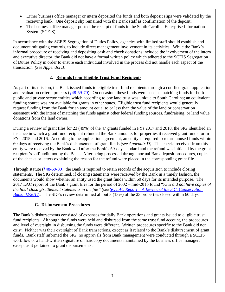- Either business office manager or intern deposited the funds and both deposit slips were validated by the receiving bank. One deposit slip remained with the Bank staff as confirmation of the deposit;
- The business office manager posted the receipt of funds in the South Carolina Enterprise Information System (SCEIS).

In accordance with the SCEIS Segregation of Duties Policy, agencies with limited staff should establish and document mitigating controls, to include direct management involvement in its activities. While the Bank's informal procedure of receiving and depositing cash and check donations included the involvement of the intern and executive director, the Bank did not have a formal written policy which adhered to the SCEIS Segregation of Duties Policy in order to ensure each individual involved in the process did not handle each aspect of the transaction. *(See Appendix B)*

#### **2. Refunds from Eligible Trust Fund Recipients**

As part of its mission, the Bank issued funds to eligible trust fund recipients through a codified grant application and evaluation criteria process [\(§48-59-70\)](http://www.scstatehouse.gov/code/t48c059.php). On occasion, these funds were used as matching funds for both public and private sector entities which according to one land trust was unique to South Carolina; an equivalent funding source was not available for grants in other states. Eligible trust fund recipients would generally request funding from the Bank for an amount equal to or less than the value of the land or conservation easement with the intent of matching the funds against other federal funding sources, fundraising, or land value donations from the land owner.

During a review of grant files for 23 (49%) of the 47 grants funded in FYs 2017 and 2018, the SIG identified an instance in which a grant fund recipient refunded the Bank amounts for properties it received grant funds for in FYs 2015 and 2016. According to the application agreement, an entity is required to return unused funds within 60 days of receiving the Bank's disbursement of grant funds *(see Appendix D)*. The checks received from this entity were received by the Bank well after the Bank's 60-day standard and the refund was initiated by the grant recipient's self-audit, not by the Bank. After being processed through normal Bank deposit procedures, copies of the checks or letters explaining the reason for the refund were placed in the corresponding grant file.

Through statute [\(§48-59-80\)](http://www.scstatehouse.gov/code/t48c059.php), the Bank is required to retain records of the acquisition to include closing statements. The SIG determined, if closing statements were received by the Bank in a timely fashion, the documents would show whether an entity used the grant funds within 60 days for its intended purpose. The 2017 LAC report of the Bank's grant files for the period of 2002 – mid-2016 found "*73% did not have copies of the final closing/settlement statements in the file" (see SC LAC Report – A Review of the [S.C. Conservation](http://lac.sc.gov/Pages/default.aspx)  Bank, 02/2017*). The SIG's review determined all but 3 (13%) of the 23 properties closed within 60 days.

#### **C. Disbursement Procedures**

The Bank's disbursements consisted of expenses for daily Bank operations and grants issued to eligible trust fund recipients. Although the funds were held and disbursed from the same trust fund account, the procedures and level of oversight in disbursing the funds were different. Written procedures specific to the Bank did not exist. Neither was their oversight of Bank transactions, except as it related to the Bank's disbursement of grant funds. Bank staff informed the SIG, no approvals from Bank management were conducted through a SCEIS workflow or a hand-written signature on hardcopy documents maintained by the business office manager, except as it pertained to grant disbursements.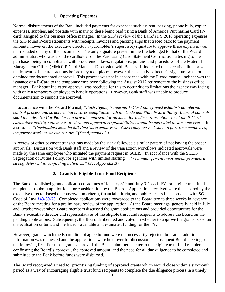# **1. Operating Expenses**

Normal disbursements of the Bank included payments for expenses such as: rent, parking, phone bills, copier expenses, supplies, and postage with many of these being paid using a Bank of America Purchasing Card (Pcard) assigned to the business office manager. In the SIG's review of the Bank's FY 2018 operating expenses, the SIG found P-card statements with receipts, invoices and packing slips that traced back to the payment amounts; however, the executive director's (cardholder's supervisor) signature to approve these expenses was not included on any of the documents. The only signature present in the file belonged to that of the P-card administrator, who was also the cardholder on the Purchasing Card Statement Certification attesting to the purchases being in compliance with procurement laws, regulations, policies and procedures of the Materials Management Office (MMO) P-Card Manual. Discussion with Bank staff indicated the executive director was made aware of the transactions before they took place; however, the executive director's signature was not obtained for documented approval. This process was not in accordance with the P-card manual, neither was the issuance of a P-Card to the temporary employee following the August 2017 retirement of the business office manager. Bank staff indicated approval was received for this to occur due to limitations the agency was facing with only a temporary employee to handle operations. However, Bank staff was unable to produce documentation to support the approval.

In accordance with the P-Card Manual, *"Each Agency's internal P-Card policy must establish an internal control process and structure that ensures compliance with the Code and State PCard Policy. Internal controls shall include: No Cardholder can provide approval for payment for his/her transactions or of the P-Card cardholder activity statements. Review and approval responsibilities cannot be delegated to someone else."* It also states *"Cardholders must be full-time State employees…Cards may not be issued to part-time employees, temporary workers, or contractors."(See Appendix C)*

A review of other payment transactions made by the Bank followed a similar pattern of not having the proper approvals. Discussion with Bank staff and a review of the transaction workflows indicated approvals were made by the same employee who initiated the payment request in SCEIS. In accordance with the SCEIS Segregation of Duties Policy, for agencies with limited staffing, *"direct management involvement provides a strong deterrent to conflicting activities." (See Appendix B)*

# **2. Grants to Eligible Trust Fund Recipients**

The Bank established grant application deadlines of January 31<sup>st</sup> and July 31<sup>st</sup> each FY for eligible trust fund recipients to submit applications for consideration by the Board. Applications received were then scored by the executive director based on conservation criteria, financial criteria, and public access in accordance with SC Code of Law [§48-59-70.](http://www.scstatehouse.gov/code/t48c059.php) Completed applications were forwarded to the Board two to three weeks in advance of the Board meeting for a preliminary review of the application. At the Board meetings, generally held in July and October/November, Board members discussed the grant applications and provided opportunities for the Bank's executive director and representatives of the eligible trust fund recipients to address the Board on the pending applications. Subsequently, the Board deliberated and voted on whether to approve the grants based on the evaluation criteria and the Bank's available and estimated funding for the FY.

However, grants which the Board did not agree to fund were not necessarily rejected; but rather additional information was requested and the applications were held over for discussion at subsequent Board meetings or the following FY. For those grants approved, the Bank submitted a letter to the eligible trust fund recipient confirming the Board's approval, the approved amount, and the need for all due diligence to be completed and submitted to the Bank before funds were disbursed.

The Board recognized a need for prioritizing funding of approved grants which would close within a six-month period as a way of encouraging eligible trust fund recipients to complete the due diligence process in a timely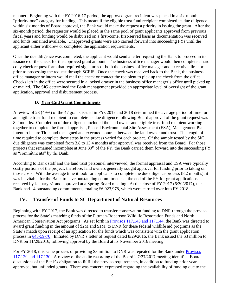manner. Beginning with the FY 2016-17 period, the approved grant recipient was placed in a six-month "priority-one" category for funding. This meant if the eligible trust fund recipient completed its due diligence within six months of Board approval, the Bank would make the request a priority in issuing the grant. After the six-month period, the requestor would be placed in the same pool of grant applicants approved from previous fiscal years and funding would be disbursed on a first-come, first-served basis as documentation was received and funds remained available. Unapproved grants were also carried forward into succeeding FYs until the applicant either withdrew or completed the application requirements.

Once the due diligence was completed, the applicant would send a letter requesting the Bank to proceed in its issuance of the check for the approved grant amount. The business office manager would then complete a hard copy check request form that required signatures of both the business office manager and executive director prior to processing the request through SCEIS. Once the check was received back to the Bank, the business office manager or intern would mail the check or contact the recipient to pick up the check from the office. Checks left in the office were secured in a locked drawer in the business office manager's office until picked up or mailed. The SIG determined the Bank management provided an appropriate level of oversight of the grant application, approval and disbursement process.

# **D. Year-End Grant Commitments**

A review of 23 (49%) of the 47 grants issued in FYs 2017 and 2018 determined the average period of time for an eligible trust fund recipient to complete its due diligence following Board approval of the grant request was 8.2 months. Completion of due diligence included the land owner and eligible trust fund recipient working together to complete the formal appraisal, Phase I Environmental Site Assessment (ESA), Management Plan, Intent to Insure Title, and the signed and executed contract between the land owner and trust. The length of time required to complete these steps in the process varied for each project. Of the sample tested by the SIG, due diligence was completed from 3.8 to 13.4 months after approval was received from the Board. For those projects that remained incomplete at June 30<sup>th</sup> of the FY, the Bank carried them forward into the succeeding FY as "commitments" by the Bank.

According to Bank staff and the land trust personnel interviewed, the formal appraisal and ESA were typically costly portions of the project; therefore, land owners generally sought approval for funding prior to taking on those costs. With the average time it took for applicants to complete the due diligence process (8.2 months), it was inevitable for the Bank to have outstanding commitments at the end of the FY for grant applications received by January 31 and approved at a Spring Board meeting. At the close of FY 2017 (6/30/2017), the Bank had 14 outstanding commitments, totaling \$6,923,978, which were carried over into FY 2018.

# **IV. Transfer of Funds to SC Department of Natural Resources**

Beginning with FY 2017, the Bank was directed to transfer conservation funding to DNR through the proviso process for the State's matching funds of the Pittman-Robertson Wildlife Restoration Funds and North American Conservation Act programs. As set forth in [Provisos 117.143 and 117.144,](http://www.scstatehouse.gov/sess121_2015-2016/appropriations2016/tap1b.pdf) the Bank was directed to award grant funding in the amount of \$2M and \$1M, to DNR for these federal wildlife aid programs as the State's match upon receipt of an application for the funds which was consistent with the grant application process in [§48-59-70.](http://www.scstatehouse.gov/code/t48c059.php) Initiated by DNR's letter of request dated 8/29/2016, the Bank issued the \$3 million to DNR on 11/29/2016, following approval by the Board at its November 2016 meeting.

For FY 2018, this same process of providing \$3 million to DNR was repeated for the Bank under [Provisos](http://www.scstatehouse.gov/sess122_2017-2018/appropriations2017/tap1b.pdf)  [117.129 and 117.130.](http://www.scstatehouse.gov/sess122_2017-2018/appropriations2017/tap1b.pdf) A review of the audio recording of the Board's 7/27/2017 meeting identified Board discussions of the Bank's obligation to fulfill the proviso requirements, in addition to funding prior year approved, but unfunded grants. There was concern expressed regarding the availability of funding due to the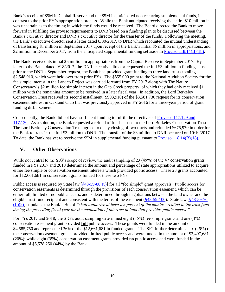Bank's receipt of \$5M in Capital Reserve and the \$5M in anticipated non-recurring supplemental funds, in contrast to the prior FY's appropriation process. While the Bank anticipated receiving the entire \$10 million it was uncertain as to the timing in which the funds would be received. The Board directed the Bank to move forward in fulfilling the proviso requirements to DNR based on a funding plan to be discussed between the Bank's executive director and DNR's executive director for the transfer of the funds. Following the meeting, the Bank's executive director sent a letter dated 8/30/2017, to DNR which recounted the mutual understanding of transferring \$1 million in September 2017 upon receipt of the Bank's initial \$5 million in appropriations, and \$2 million in December 2017, from the anticipated supplemental funding set aside in [Proviso 118.14\(B\)\(18\).](http://www.scstatehouse.gov/sess122_2017-2018/appropriations2017/tap1b.pdf)

The Bank received its initial \$5 million in appropriations from the Capital Reserve in September 2017. By letter to the Bank, dated 9/18/2017, the DNR executive director requested the full \$3 million in funding. Just prior to the DNR's September request, the Bank had provided grant funding to three land trusts totaling \$2,548,910, which were held over from prior FYs. The \$555,000 grant to the National Audubon Society for the fee simple interest in the Landco Project was carried forward from FY 2017 along with The Nature Conservancy's \$2 million fee simple interest in the Gap Creek property, of which they had only received \$1 million with the remaining amount to be received in a later fiscal year. In addition, the Lord Berkeley Conservation Trust received its second installment (\$993,910) of the \$3,581,730 request for its conservation easement interest in Oakland Club that was previously approved in FY 2016 for a three-year period of grant funding disbursement.

Consequently, the Bank did not have sufficient funding to fulfill the directives of [Provisos 117.129 and](http://www.scstatehouse.gov/sess122_2017-2018/appropriations2017/tap1b.pdf)  [117.130.](http://www.scstatehouse.gov/sess122_2017-2018/appropriations2017/tap1b.pdf) As a solution, the Bank requested a refund of funds issued to the Lord Berkeley Conservation Trust. The Lord Berkeley Conservation Trust agreed to delay closing of two tracts and refunded \$675,970 in order for the Bank to transfer the full \$3 million to DNR. The transfer of the \$3 million to DNR occurred on 10/10/2017. To date, the Bank has yet to receive the \$5M in supplemental funding pursuant to [Proviso 118.14\(B\)\(18\).](http://www.scstatehouse.gov/sess122_2017-2018/appropriations2017/tap1b.pdf)

# **V. Other Observations**

While not central to the SIG's scope of review, the audit sampling of 23 (49%) of the 47 conservation grants funded in FYs 2017 and 2018 determined the amount and percentage of state appropriations utilized to acquire either fee simple or conservation easement interests which provided public access. These 23 grants accounted for \$12,661,681 in conservation grants funded for these two FYs.

Public access is required by State law  $\left[\frac{848-59-80(K)}{8}\right]$  for all "fee simple" grant approvals. Public access for conservation easements is determined through the provisions of each conservation easement, which can be either full, limited or no public access, and is determined through negotiations between the land owner and the eligible trust fund recipient and consistent with the terms of the easement [\(§48-59-100\)](http://www.scstatehouse.gov/code/t48c059.php). State law [\[§48-59-70](http://www.scstatehouse.gov/code/t48c059.php)  [\(L\)\(2\)\]](http://www.scstatehouse.gov/code/t48c059.php) stipulates the Bank's Board *"shall authorize at least ten percent of the monies credited to the trust fund during the preceding fiscal year for the acquisition of interests in land that provides public access."*

For FYs 2017 and 2018, the SIG's audit sampling determined eight (35%) fee simple grants and one (4%) conservation easement grant provided **full** public access. These grants were funded in the amount of \$4,585,750 and represented 36% of the \$12,661,681 in funded grants. The SIG further determined six (26%) of the conservation easement grants provided **limited** public access and were funded in the amount of \$2,497,681 (20%); while eight (35%) conservation easement grants provided **no** public access and were funded in the amount of \$5,578,250 (44%) by the Bank.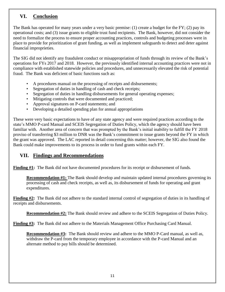# **VI. Conclusion**

The Bank has operated for many years under a very basic premise: (1) create a budget for the FY; (2) pay its operational costs; and (3) issue grants to eligible trust fund recipients. The Bank, however, did not consider the need to formalize the process to ensure proper accounting practices, controls and budgeting processes were in place to provide for prioritization of grant funding, as well as implement safeguards to detect and deter against financial improprieties.

The SIG did not identify any fraudulent conduct or misappropriation of funds through its review of the Bank's operations for FYs 2017 and 2018. However, the previously identified internal accounting practices were not in compliance with established statewide policies and procedures, and unnecessarily elevated the risk of potential fraud. The Bank was deficient of basic functions such as:

- A procedures manual on the processing of receipts and disbursements;
- Segregation of duties in handling of cash and check receipts;
- Segregation of duties in handling disbursements for general operating expenses;
- Mitigating controls that were documented and practiced;
- Approval signatures on P-card statements; and
- Developing a detailed spending plan for annual appropriations

These were very basic expectations to have of any state agency and were required practices according to the state's MMO P-card Manual and SCEIS Segregation of Duties Policy, which the agency should have been familiar with. Another area of concern that was prompted by the Bank's initial inability to fulfill the FY 2018 proviso of transferring \$3 million to DNR was the Bank's commitment to issue grants beyond the FY in which the grant was approved. The LAC reported in detail concerning this matter; however, the SIG also found the Bank could make improvements to its process in order to fund grants within each FY.

# **VII. Findings and Recommendations**

**Finding #1:** The Bank did not have documented procedures for its receipt or disbursement of funds.

**Recommendation #1:** The Bank should develop and maintain updated internal procedures governing its processing of cash and check receipts, as well as, its disbursement of funds for operating and grant expenditures.

**Finding #2:** The Bank did not adhere to the standard internal control of segregation of duties in its handling of receipts and disbursements.

**Recommendation #2:** The Bank should review and adhere to the SCEIS Segregation of Duties Policy.

**Finding #3:** The Bank did not adhere to the Materials Management Office Purchasing Card Manual.

**Recommendation #3:** The Bank should review and adhere to the MMO P-Card manual, as well as, withdraw the P-card from the temporary employee in accordance with the P-card Manual and an alternate method to pay bills should be determined.